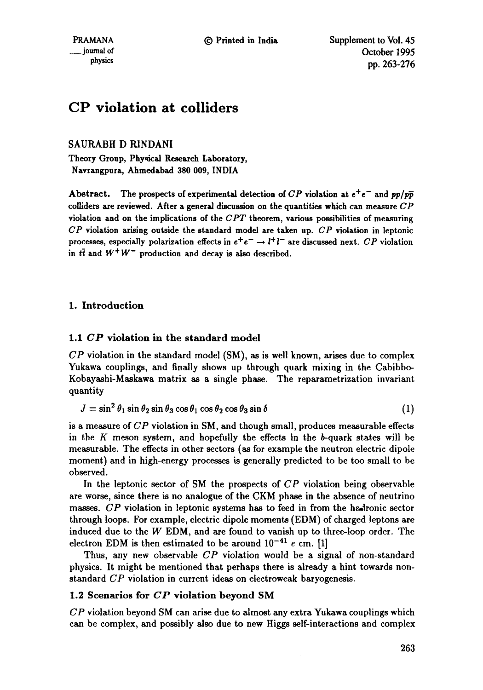# **CP violation at colliders**

SAURABH D RINDANI

Theory Group, Physical Research Laboratory, Navrangpura, Ahmedabad **380 009,** INDIA

Abstract. The prospects of experimental detection of  $CP$  violation at  $e^+e^-$  and  $pp/p\bar{p}$ colllders are reviewed. After a general discussion on the quantities which can measure *CP*  violation and on the implications of the  $CPT$  theorem, various possibilities of measuring *CP* violation arising outside the standard model are taken up. *CP* violation in leptonic processes, especially polarization effects in  $e^+e^- \rightarrow l^+l^-$  are discussed next. *CP* violation in  $t\bar{t}$  and  $W^+W^-$  production and decay is also described.

# 1. Introduction

# 1.1 *CP* violation in the standard model

 $\overline{CP}$  violation in the standard model (SM), as is well known, arises due to complex Yukawa couplings, and finally shows up through quark mixing in the Cabibbo-Kobayashi-Maskawa matrix as a single phase. The reparametrization invariant quantity

$$
J = \sin^2 \theta_1 \sin \theta_2 \sin \theta_3 \cos \theta_1 \cos \theta_2 \cos \theta_3 \sin \delta \tag{1}
$$

is a measure of *CP* violation in SM, and though small, produces measurable effects in the K meson system, and hopefully the effects in the b-quark states will be measurable. The effects in other sectors (as for example the neutron electric dipole moment) and in high-energy processes is generally predicted to be too small to be observed.

In the leptonic sector of SM the prospects of *CP* violation being observable are worse, since there is no analogue of the CKM phase in the absence of neutrino masses. CP violation in leptonic systems has to feed in from the hadronic sector through loops. For example, electric dipole moments (EDM) of charged leptons are induced due to the W EDM, and are found to vanish up to three-loop order. The electron EDM is then estimated to be around  $10^{-41}$  e cm. [1]

Thus, any new observable *CP* violation would be a signal of non-standard physics. It might be mentioned that perhaps there is already a hint towards nonstandard *CP* violation in current ideas on electroweak baryogenesis.

# 1.2 Scenarios for *CP* violation beyond SM

*CP* violation beyond SM can arise due to almost any extra Yukawa couplings which can be complex, and possibly also due to new Higgs self-interactions and complex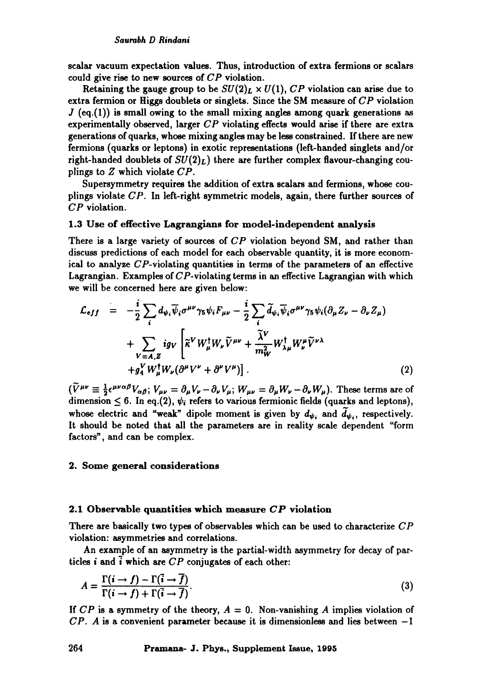scalar vacuum expectation values. Thus, introduction of extra fermions or scalars could give rise to new sources of *CP* violation.

Retaining the gauge group to be  $SU(2)_L \times U(1)$ , CP violation can arise due to extra fermion or Higgs doublets or singlets. Since the SM measure of  $\overline{CP}$  violation  $J$  (eq.(1)) is small owing to the small mixing angles among quark generations as experimentally observed, larger  $CP$  violating effects would arise if there are extra generations of quarks, whose mixing angles may be less constrained. If there are new fermions (quarks or leptons) in exotic representations (left-handed singlets and/or right-handed doublets of  $SU(2)_L$ ) there are further complex flavour-changing couplings to Z which violate *CP.* 

Supersymmetry requires the addition of extra scalars and fermions, whose couplings violate CP. In left-right symmetric models, again, there further sources of CP violation.

## 1.3 Use of effective Lagrangians for model-independent analysis

There is a large variety of sources of *CP* violation beyond SM, and rather than discuss predictions of each model for each observable quantity, it is more economical to analyze CP-violating quantities in terms of the parameters of an effective Lagrangian. Examples of CP-violating terms in an effective Lagrangian with which we will be concerned here are given below:

$$
\mathcal{L}_{eff} = -\frac{i}{2} \sum_{i} d_{\psi_{i}} \overline{\psi}_{i} \sigma^{\mu \nu} \gamma_{5} \psi_{i} F_{\mu \nu} - \frac{i}{2} \sum_{i} \widetilde{d}_{\psi_{i}} \overline{\psi}_{i} \sigma^{\mu \nu} \gamma_{5} \psi_{i} (\partial_{\mu} Z_{\nu} - \partial_{\nu} Z_{\mu}) \n+ \sum_{V = A, Z} ig_{V} \left[ \widetilde{\kappa}^{V} W_{\mu}^{\dagger} W_{\nu} \widetilde{V}^{\mu \nu} + \frac{\widetilde{\lambda}^{V}}{m_{W}^{2}} W_{\lambda \mu}^{\dagger} W_{\nu}^{\mu} \widetilde{V}^{\nu \lambda} \n+ g_{Y}^{V} W_{\mu}^{\dagger} W_{\nu} (\partial^{\mu} V^{\nu} + \partial^{\nu} V^{\mu}) \right].
$$
\n(2)

 $(\tilde{V}^{\mu\nu} \equiv \frac{1}{2} \epsilon^{\mu\nu\alpha\beta} V_{\alpha\beta}$ ;  $V_{\mu\nu} = \partial_{\mu} V_{\nu} - \partial_{\nu} V_{\mu}$ ;  $W_{\mu\nu} = \partial_{\mu} W_{\nu} - \partial_{\nu} W_{\mu}$ ). These terms are of dimension  $\leq 6$ . In eq.(2),  $\psi_i$  refers to various fermionic fields (quarks and leptons), whose electric and "weak" dipole moment is given by  $d_{\psi_i}$  and  $\tilde{d}_{\psi_i}$ , respectively. It should be noted that all the parameters are in reality scale dependent "form factors", and can be complex.

#### 2. Some general considerations

# 2.1 Observable quantities which measure *CP* violation

There are basically two types of observables which can be used to characterize  $\mathbb{CP}$ violation: asymmetries and correlations.

An example of an asymmetry is the partial-width asymmetry for decay of particles  $i$  and  $\overline{i}$  which are  $CP$  conjugates of each other:

$$
A = \frac{\Gamma(i \to f) - \Gamma(\overline{i} \to \overline{f})}{\Gamma(i \to f) + \Gamma(\overline{i} \to \overline{f})}.
$$
\n(3)

If  $CP$  is a symmetry of the theory,  $A = 0$ . Non-vanishing A implies violation of *CP. A* is a convenient parameter because it is dimensionless and lies between -1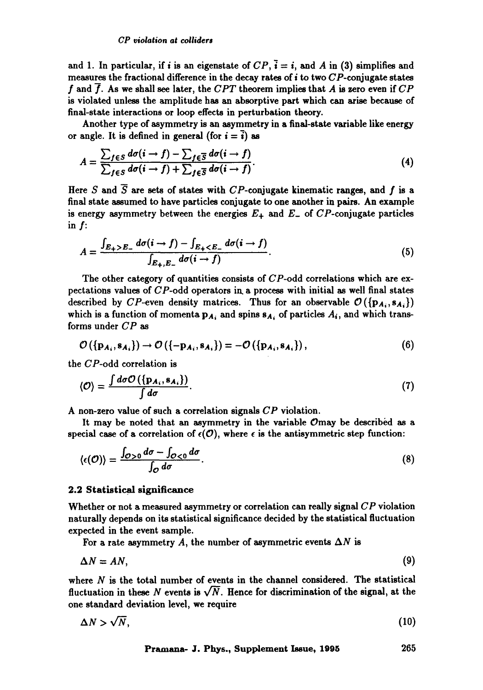and 1. In particular, if *i* is an eigenstate of  $CP$ ,  $\overline{i} = i$ , and A in (3) simplifies and measures the fractional difference in the decay rates of  $i$  to two  $CP$ -conjugate states f and  $\overline{f}$ . As we shall see later, the *CPT* theorem implies that A is zero even if  $CP$ is violated unless the amplitude has an absorptive part which can arise because of final-state interactions or loop effects in perturbation theory.

Another type of asymmetry is an asymmetry in a final-state variable like energy or angle. It is defined in general (for  $i = \overline{i}$ ) as

$$
A = \frac{\sum_{f \in S} d\sigma(i \to f) - \sum_{f \in \overline{S}} d\sigma(i \to f)}{\sum_{f \in S} d\sigma(i \to f) + \sum_{f \in \overline{S}} d\sigma(i \to f)}.
$$
\n(4)

Here S and  $\overline{S}$  are sets of states with CP-conjugate kinematic ranges, and f is a final state assumed to have particles conjugate to one another in pairs. An example is energy asymmetry between the energies  $E_{+}$  and  $E_{-}$  of  $CP$ -conjugate particles in f:

$$
A = \frac{\int_{E_+ > E_-} d\sigma(i \to f) - \int_{E_+ < E_-} d\sigma(i \to f)}{\int_{E_+ , E_-} d\sigma(i \to f)}.
$$
\n
$$
\tag{5}
$$

The other category of quantities consists of  $CP$ -odd correlations which are expectations values of  $CP$ -odd operators in a process with initial as well final states described by CP-even density matrices. Thus for an observable  $\mathcal{O}(\{p_{A_i}, s_{A_i}\})$ which is a function of momenta  $p_{A_i}$  and spins  $s_{A_i}$  of particles  $A_i$ , and which transforms under  $CP$  as

$$
\mathcal{O}(\{\mathbf{p}_{A_i}, \mathbf{s}_{A_i}\}) \rightarrow \mathcal{O}(\{-\mathbf{p}_{A_i}, \mathbf{s}_{A_i}\}) = -\mathcal{O}(\{\mathbf{p}_{A_i}, \mathbf{s}_{A_i}\}),
$$
\n(6)

the CP-odd correlation is

$$
\langle \mathcal{O} \rangle = \frac{\int d\sigma \mathcal{O}\left(\{p_{A_i}, s_{A_i}\}\right)}{\int d\sigma}.
$$
 (7)

A non-zero value of such a correlation signals CP violation.

It may be noted that an asymmetry in the variable  $\mathcal{O}$ may be described as a special case of a correlation of  $\epsilon(\mathcal{O})$ , where  $\epsilon$  is the antisymmetric step function:

$$
\langle \epsilon(\mathcal{O}) \rangle = \frac{\int_{\mathcal{O} > 0} d\sigma - \int_{\mathcal{O} < 0} d\sigma}{\int_{\mathcal{O}} d\sigma}.
$$
\n
$$
(8)
$$

#### 2.2 Statistical significance

Whether or not a measured asymmetry or correlation can really signal *CP* violation naturally depends on its statistical significance decided by the statistical fluctuation expected in the event sample.

For a rate asymmetry A, the number of asymmetric events  $\Delta N$  is

$$
\Delta N = AN,\tag{9}
$$

where  $N$  is the total number of events in the channel considered. The statistical fluctuation in these N events is  $\sqrt{N}$ . Hence for discrimination of the signal, at the one standard deviation level, we require

$$
\Delta N > \sqrt{N},\tag{10}
$$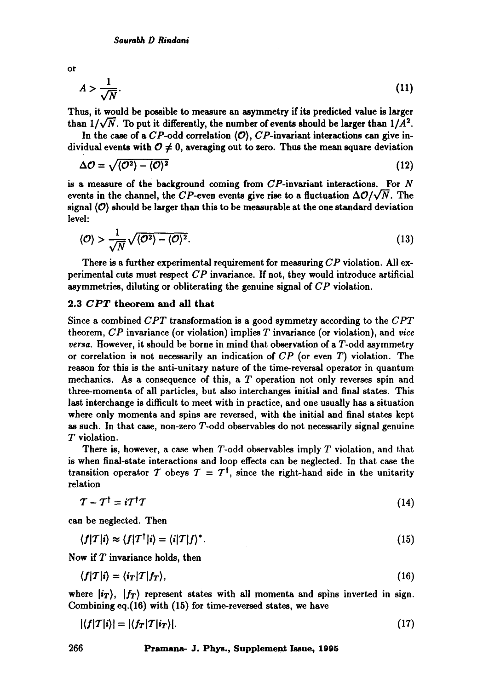or

$$
A > \frac{1}{\sqrt{N}}.\tag{11}
$$

Thus, it would be possible to measure an asymmetry if its predicted value is larger than  $1/\sqrt{N}$ . To put it differently, the number of events should be larger than  $1/A^2$ .

In the case of a  $CP$ -odd correlation  $\langle \mathcal{O} \rangle$ ,  $CP$ -invariant interactions can give individual events with  $0 \neq 0$ , averaging out to zero. Thus the mean square deviation

$$
\Delta \mathcal{O} = \sqrt{\langle \mathcal{O}^2 \rangle - \langle \mathcal{O} \rangle^2} \tag{12}
$$

is a measure of the background coming from  $\mathbb{CP}$ -invariant interactions. For N events in the channel, the CP-even events give rise to a fluctuation  $\Delta\mathcal{O}/\sqrt{N}$ . The signal  $\langle \mathcal{O} \rangle$  should be larger than this to be measurable at the one standard deviation level:

$$
\langle \mathcal{O} \rangle > \frac{1}{\sqrt{N}} \sqrt{\langle \mathcal{O}^2 \rangle - \langle \mathcal{O} \rangle^2}.
$$
 (13)

There is a further experimental requirement for measuring *CP* violation. All experimental cuts must respect *CP* invariance. If not, they would introduce artificial asymmetries, diluting or obliterating the genuine signal of *CP* violation.

# 2.3 *CPT* theorem and all **that**

Since a combined *CPT* transformation is a good symmetry according to the *CPT*  theorem, *CP* invariance (or violation) implies T invariance (or violation), and *vice versa.* However, it should be borne in mind that observation of a T-odd asymmetry or correlation is not necessarily an indication of *CP* (or even T) violation. The reason for this is the anti-unitary nature of the time-reversal operator in quantum mechanics. As a consequence of this, a T operation not only reverses spin and three-momenta of all particles, but also interchanges initial and final states. This last interchange is difficult to meet with in practice, and one usually has a situation where only momenta and spins are reversed, with the initial and final states kept as such. In that case, non-zero T-odd observables do not necessarily signal genuine T violation.

There is, however, a case when  $T$ -odd observables imply  $T$  violation, and that is when final-state interactions and loop effects can be neglected. In that case the transition operator T obeys  $T = T^{\dagger}$ , since the right-hand side in the unitarity relation

$$
T - T^{\dagger} = iT^{\dagger}T \tag{14}
$$

can be neglected. Then

$$
\langle f|T|i\rangle \approx \langle f|T^{\dagger}|i\rangle = \langle i|T|f\rangle^*.
$$
\n(15)

Now if  $T$  invariance holds, then

$$
\langle f|T|i\rangle = \langle i_T|T|f_T\rangle,\tag{16}
$$

where  $\ket{i_T}$ ,  $\ket{f_T}$  represent states with all momenta and spins inverted in sign. Combining eq.(16) with (15) for time-reversed states, we have

$$
|\langle f|T|i\rangle| = |\langle f_T|T|i_T\rangle|.\tag{17}
$$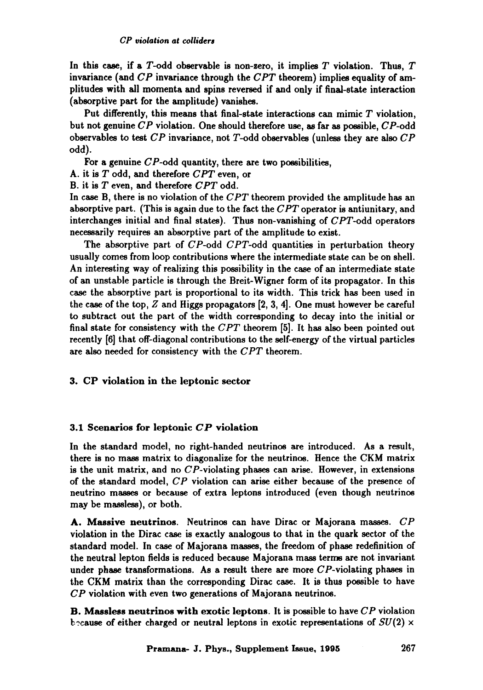In this case, if a  $T$ -odd observable is non-zero, it implies  $T$  violation. Thus,  $T$ invarianee (and *CP* invariance through the *CPT* theorem) implies equality of amplitudes with all momenta and spins reversed if and only if final-state interaction (absorptive part for the amplitude) vanishes.

Put differently, this means that final-state interactions can mimic  $T$  violation, but not genuine *CP* violation. One should therefore use, as far as possible, CP-odd observables to test *CP* invariance, not T-odd observables (unless they are also *CP*  odd).

For a genuine  $CP$ -odd quantity, there are two possibilities,

- A. it is T odd, and therefore *CPT* even, or
- B. it is T even, and therefore *CPT* odd.

In case B, there is no violation of the *CPT* theorem provided the amplitude has an absorptive part. (This is again due to the fact the *CPT* operator is antiunitary, and interchanges initial and final states). Thus non-vanishing of CPT-odd operators necessarily requires an absorptive part of the amplitude to exist.

The absorptive part of CP-odd *CPT-odd* quantities in perturbation theory usually comes from loop contributions where the intermediate state can be on shell. An interesting way of realizing this possibility in the case of an intermediate state of an unstable particle is through the Breit-Wigner form of its propagator. In this case the absorptive part is proportional to its width. This trick has been used in the case of the top,  $Z$  and Higgs propagators  $[2, 3, 4]$ . One must however be careful to subtract out the part of the width corresponding to decay into the initial or final state for consistency with the *CPT* theorem [5]. It has also been pointed out recently [6] that off-diagonal contributions to the self-energy of the virtual particles are also needed for consistency with the *CPT* theorem.

# 3. CP violation in the leptonic sector

# 3.1 Scenarios for leptonic *CP* violation

In the standard model, no right-handed neutrinos are introduced. As a result, there is no mass matrix to diagonalize for the neutrinos. Hence the CKM matrix is the unit matrix, and no CP-violating phases can arise. However, in extensions of the standard model, *CP* violation can arise either because of the presence of neutrino masses or because of extra leptons introduced (even though neutrinos may be massless), or both.

A. Massive neutrinos. Neutrinos can have Dirac or Majorana masses. *CP*  violation in the Dirac case is exactly analogous to that in the quark sector of the standard model. In case of Majorana masses, the freedom of phase redefinition of the neutral lepton fields is reduced because Majorana mass terms are not invariant under phase transformations. As a result there are more  $CP$ -violating phases in the CKM matrix than the corresponding Dirac case. It is thus possible to have *CP* violation with even two generations of Majorana neutrinos.

B. Massless neutrinos with exotic leptons. It is possible to have *CP* violation b cause of either charged or neutral leptons in exotic representations of  $SU(2) \times$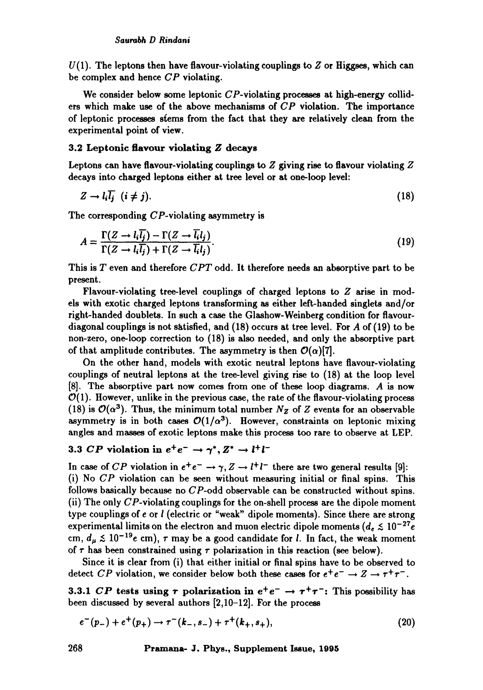$U(1)$ . The leptons then have flavour-violating couplings to  $Z$  or Higgses, which can be complex and hence CP violating.

We consider below some leptonic  $CP$ -violating processes at high-energy colliders which make use of the above mechanisms of  $CP$  violation. The importance of leptonic processes stems from the fact that they are relatively clean from the experimental point of view.

# 3.2 Leptonic flavour violating Z decays

Leptons can have flavour-violating couplings to  $Z$  giving rise to flavour violating  $Z$ decays into charged leptons either at tree level or at one-loop level:

$$
Z \to l_i \overline{l_j} \quad (i \neq j). \tag{18}
$$

The corresponding CP-violating asymmetry is

$$
A = \frac{\Gamma(Z \to l_i \overline{l_j}) - \Gamma(Z \to \overline{l_i} l_j)}{\Gamma(Z \to l_i \overline{l_j}) + \Gamma(Z \to \overline{l_i} l_j)}.
$$
\n(19)

This is T even and therefore *CPT* odd. It therefore needs an absorptive part to be present.

Flavour-violating tree-level couplings of charged leptons to Z arise in models with exotic charged leptons transforming as either left-handed singlets and/or right-handed doublets. In such a case the Glashow-Weinberg condition for flavourdiagonal couplings is not satisfied, and  $(18)$  occurs at tree level. For A of  $(19)$  to be non-zero, one-loop correction to (18) is also needed, and only the absorptive part of that amplitude contributes. The asymmetry is then  $\mathcal{O}(\alpha)[7]$ .

On the other hand, models with exotic neutral leptons have flavour-violating couplings of neutral leptons at the tree-level giving rise to (18) at the loop level  $[8]$ . The absorptive part now comes from one of these loop diagrams. A is now  $\mathcal{O}(1)$ . However, unlike in the previous case, the rate of the flavour-violating process (18) is  $\mathcal{O}(\alpha^3)$ . Thus, the minimum total number  $N_Z$  of Z events for an observable asymmetry is in both cases  $\mathcal{O}(1/\alpha^3)$ . However, constraints on leptonic mixing angles and masses of exotic leptons make this process too rare to observe at LEP.

# 3.3 *CP* violation in  $e^+e^- \rightarrow \gamma^*, Z^* \rightarrow l^+l^-$

In case of *CP* violation in  $e^+e^- \rightarrow \gamma$ ,  $Z \rightarrow l^+l^-$  there are two general results [9]: (i) No *CP* violation can be seen without measuring initial or final spins. This follows basically because no CP-odd observable can be constructed without spins. (ii) The only CP-violating couplings for the on-shell process are the dipole moment type couplings of e or ! (electric or "weak" dipole moments). Since there are strong experimental limits on the electron and muon electric dipole moments  $(d_e \lesssim 10^{-27}e^{-1})$ cm,  $d_u \lesssim 10^{-19}e$  cm),  $\tau$  may be a good candidate for *l*. In fact, the weak moment of  $\tau$  has been constrained using  $\tau$  polarization in this reaction (see below).

Since it is clear from (i) that either initial or final spins have to be observed to detect *CP* violation, we consider below both these cases for  $e^+e^- \rightarrow Z \rightarrow \tau^+\tau^-$ .

3.3.1 *CP* tests using  $\tau$  polarization in  $e^+e^- \rightarrow \tau^+\tau^-$ : This possibility has been discussed by several authors [2,10-12]. For the process

$$
e^-(p_-) + e^+(p_+) \to \tau^-(k_-, s_-) + \tau^+(k_+, s_+), \tag{20}
$$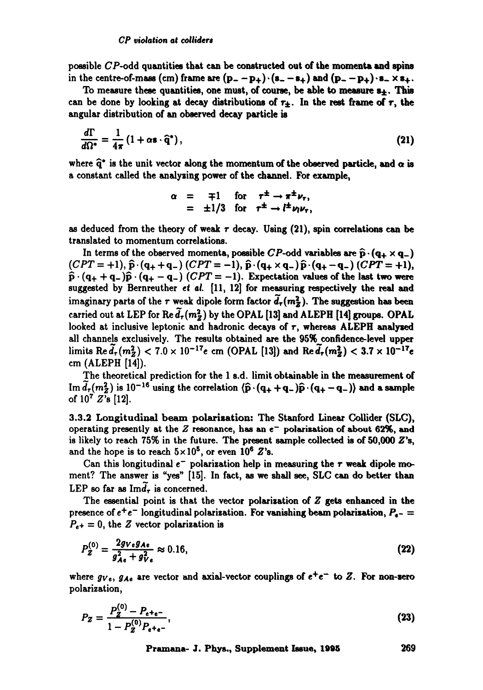possible  $CP$ -odd quantities that can be constructed out of the momenta and spins in the centre-of-mass (cm) frame are  $(p_--p_+) \cdot (s_--s_+)$  and  $(p_--p_+) \cdot s_- \times s_+$ .

To measure these quantities, one must, of course, be able to measure  $s_{\pm}$ . This can be done by looking at decay distributions of  $\tau_{+}$ . In the rest frame of  $\tau$ , the angular distribution of an observed decay particle is

$$
\frac{d\Gamma}{d\Omega^*} = \frac{1}{4\pi} \left( 1 + \alpha \mathbf{s} \cdot \hat{\mathbf{q}}^* \right),\tag{21}
$$

where  $\hat{q}^*$  is the unit vector along the momentum of the observed particle, and  $\alpha$  is a constant called the analysing power of the channel. For example,

$$
\alpha = \mp 1 \quad \text{for} \quad \tau^{\pm} \to \pi^{\pm} \nu_{r},
$$
  
= \pm 1/3 \quad \text{for} \quad \tau^{\pm} \to l^{\pm} \nu\_{l} \nu\_{r},

as deduced from the theory of weak  $\tau$  decay. Using (21), spin correlations can be translated to momentum correlations.

In terms of the observed momenta, possible *CP*-odd variables are  $\hat{p} \cdot (q_+ \times q_-)$  $(CPT = +1), \hat{p} \cdot (q_{+} + q_{-}) (CPT = -1), \hat{p} \cdot (q_{+} \times q_{-}) \hat{p} \cdot (q_{+} - q_{-}) (CPT = +1),$  $\hat{\mathbf{p}} \cdot (\mathbf{q}_{+} + \mathbf{q}_{-})\hat{\mathbf{p}} \cdot (\mathbf{q}_{+} - \mathbf{q}_{-})$  *(CPT* = -1). Expectation values of the last two were suggested by Bernreuther *et al.* [11, 12] for measuring respectively the real and imaginary parts of the r weak dipole form factor  $\tilde{d}_{\tau}(m_{\tilde{Z}}^2)$ . The suggestion has been carried out at LEP for Re  $\tilde{d}_{\tau}(m_{Z}^{2})$  by the OPAL [13] and ALEPH [14] groups. OPAL looked at inclusive leptonic and hadronic decays of r, whereas ALEPH analyzed all channels exclusively. The results obtained are the 95% confidence-level upper limits Re $d_{\tau}(m_Z^2)$  < 7.0 x 10<sup>-17</sup>e cm (OPAL [13]) and Re $d_{\tau}(m_Z^2)$  < 3.7 x 10<sup>-17</sup>e cm (ALEPH [14]).

The theoretical prediction for the 1 s.d. limit obtainable in the measurement of Im  $d_r(m_2^2)$  is 10<sup>-16</sup> using the correlation  $\langle \hat{\mathbf{p}} \cdot (\mathbf{q}_+ + \mathbf{q}_-) \hat{\mathbf{p}} \cdot (\mathbf{q}_+ - \mathbf{q}_-) \rangle$  and a sample of  $10^7 Z$ 's [12].

3.3.2 Longitudinal beam polarization: The Stanford Linear Collidex (SLC), operating presently at the  $Z$  resonance, has an  $e^-$  polarization of about 62%, and is likely to reach  $75\%$  in the future. The present sample collected is of  $50,000 Z'$ s, and the hope is to reach  $5 \times 10^5$ , or even 10<sup>6</sup> Z's.

Can this longitudinal  $e^-$  polarization help in measuring the  $\tau$  weak dipole moment? The answer is "yes" [15]. In fact, as we shall see, SLC can do better than LEP so far as  $\text{Im}d_{\tau}$  is concerned.

The essential point is that the vector polarization of  $Z$  gets enhanced in the presence of  $e^+e^-$  longitudinal polarization. For vanishing beam polarization,  $P_{e^-}$  $P_{e^+} = 0$ , the Z vector polarization is

$$
P_Z^{(0)} = \frac{2g_{Ve}g_{Ae}}{g_{Ae}^2 + g_{Ve}^2} \approx 0.16, \tag{22}
$$

where  $gv_e$ ,  $g_{Ae}$  are vector and axial-vector couplings of  $e^+e^-$  to Z. For non-zero polarization,

$$
P_Z = \frac{P_Z^{(0)} - P_{e^+e^-}}{1 - P_Z^{(0)}P_{e^+e^-}},
$$
\n(23)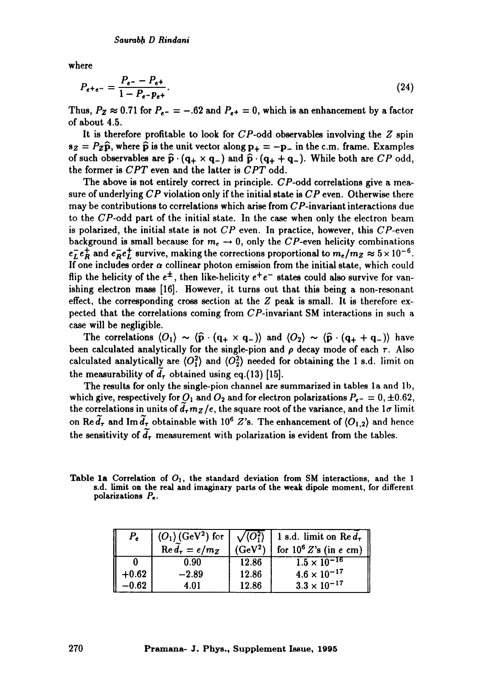where

$$
P_{e^+e^-} = \frac{P_{e^-} - P_{e^+}}{1 - P_{e^-}p_{e^+}}.\tag{24}
$$

Thus,  $P_Z \approx 0.71$  for  $P_{e^-} = -.62$  and  $P_{e^+} = 0$ , which is an enhancement by a factor of about 4.5.

It is therefore profitable to look for  $CP$ -odd observables involving the  $Z$  spin  $s_z = P_z \hat{p}$ , where  $\hat{p}$  is the unit vector along  $p_+ = -p_-$  in the c.m. frame. Examples of such observables are  $\hat{\mathbf{p}} \cdot (\mathbf{q}_+ \times \mathbf{q}_-)$  and  $\hat{\mathbf{p}} \cdot (\mathbf{q}_+ + \mathbf{q}_-)$ . While both are  $CP$  odd, the former is *CPT* even and the latter is *CPT* odd.

The above is not entirely correct in principle. CP-odd correlations give a measure of underlying  $CP$  violation only if the initial state is  $CP$  even. Otherwise there may be contributions to ccrrelations which arise from CP-invariant interactions due to the CP-odd part of the initial state. In the case when only the electron beam is polarized, the initial state is not  $CP$  even. In practice, however, this  $CP$ -even background is small because for  $m_e \rightarrow 0$ , only the CP-even helicity combinations  $e^-_L e^+_R$  and  $e^-_R e^+_L$  survive, making the corrections proportional to  $m_e/m_Z \approx 5 \times 10^{-6}$ . If one includes order  $\alpha$  collinear photon emission from the initial state, which could flip the helicity of the  $e^{\pm}$ , then like-helicity  $e^+e^-$  states could also survive for vanishing electron mass [16]. However, it turns out that this being a non-resonant effect, the corresponding cross section at the Z peak is small. It is therefore expected that the correlations coming from CP-invariant SM interactions in such a case will be negligible.

The correlations  $\langle O_1 \rangle \sim \langle \hat{p} \cdot (q_+ \times q_-) \rangle$  and  $\langle O_2 \rangle \sim \langle \hat{p} \cdot (q_+ + q_-) \rangle$  have been calculated analytically for the single-pion and  $\rho$  decay mode of each  $\tau$ . Also calculated analytically are  $\langle O_1^2 \rangle$  and  $\langle O_2^2 \rangle$  needed for obtaining the 1 s.d. limit on the measurability of  $\tilde{d}_r$  obtained using eq.(13) [15].

The results for only the single-pion channel are summarized in tables la and lb, which give, respectively for  $O_1$  and  $O_2$  and for electron polarizations  $P_{\epsilon-} = 0, \pm 0.62$ , the correlations in units of  $\tilde{d}_{\tau}m_Z/e$ , the square root of the variance, and the  $1\sigma$  limit on Re  $\tilde{d}_{\tau}$  and Im  $\tilde{d}_{\tau}$  obtainable with 10<sup>6</sup> Z's. The enhancement of  $\langle O_{1,2} \rangle$  and hence the sensitivity of  $\tilde{d}_\tau$  measurement with polarization is evident from the tables.

Table 1a Correlation of  $O<sub>1</sub>$ , the standard deviation from SM interactions, and the 1 s.d. limit **on the** real and imaginary parts of the weak dipole moment, for different polarizations  $P_e$ .

|         | $\langle O_1 \rangle$ (GeV <sup>2</sup> ) for<br>$\operatorname{Re} d_{\tau} = e/m_Z$ | $\sqrt{\langle O_1^2 \rangle}$<br>$(GeV^2)$ | 1 s.d. limit on Re $d_{\tau}$  <br>for $10^6 Z$ 's (in e cm) |
|---------|---------------------------------------------------------------------------------------|---------------------------------------------|--------------------------------------------------------------|
|         | 0.90                                                                                  | 12.86                                       | $1.5 \times 10^{-16}$                                        |
| $+0.62$ | $-2.89$                                                                               | 12.86                                       | $4.6 \times 10^{-17}$                                        |
| $-0.62$ | 4.01                                                                                  | 12.86                                       | $3.3 \times 10^{-17}$                                        |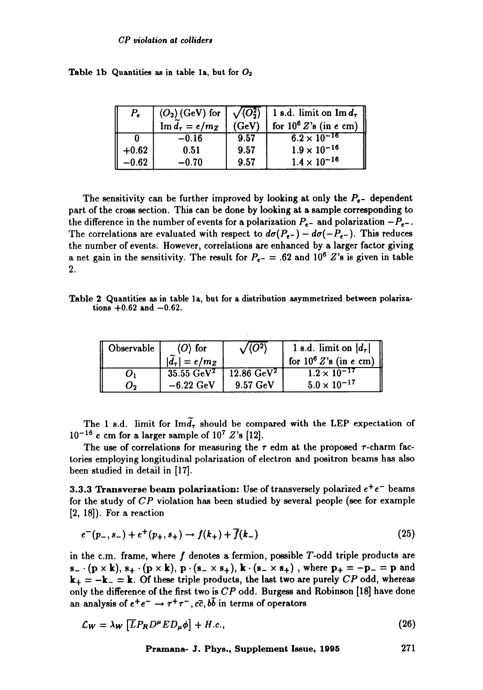|  | Table 1b Quantities as in table 1a, but for $O_2$ |  |  |  |  |  |  |
|--|---------------------------------------------------|--|--|--|--|--|--|
|--|---------------------------------------------------|--|--|--|--|--|--|

| $P_e$   |                                      |       | $\langle O_2 \rangle$ (GeV) for $\sqrt{\langle O_2^2 \rangle}$ 1 s.d. limit on Im $d_{\tau}$ |  |  |
|---------|--------------------------------------|-------|----------------------------------------------------------------------------------------------|--|--|
|         | $\operatorname{Im} d_{\tau} = e/m_Z$ | (GeV) | for $10^6 Z$ 's (in e cm)                                                                    |  |  |
|         | $-0.16$                              | 9.57  | $6.2 \times 10^{-16}$                                                                        |  |  |
| $+0.62$ | 0.51                                 | 9.57  | $1.9 \times 10^{-16}$                                                                        |  |  |
| $-0.62$ | $-0.70$                              | 9.57  | $1.4 \times 10^{-16}$                                                                        |  |  |

The sensitivity can be further improved by looking at only the  $P_{e-}$  dependent part of the cross section. This can be done by looking at a sample corresponding to the difference in the number of events for a polarization  $P_{e-}$  and polarization  $-P_{e-}$ . The correlations are evaluated with respect to  $d\sigma(P_{e^-}) - d\sigma(-P_{e^-})$ . This reduces the number of events. However, correlations are enhanced by a larger factor giving a net gain in the sensitivity. The result for  $P_{\epsilon-} = .62$  and 10<sup>6</sup> Z's is given in table 2.

Table 2 Quantities as in table la, but for a distribution asymmetrized between polarizations  $+0.62$  and  $-0.62$ .

| Observable         | $\langle O \rangle$ for | $\sqrt{\overline{O^2}}$ | 1 s.d. limit on $ d_{\tau} $ |  |  |
|--------------------|-------------------------|-------------------------|------------------------------|--|--|
|                    | $ d_{\tau}  = e/m_Z$    |                         | for $10^6 Z$ 's (in e cm)    |  |  |
| $\boldsymbol{U}_1$ | $35.55\ \mathrm{GeV^2}$ | $12.86 \text{ GeV}^2$   | $1.2 \times 10^{-17}$        |  |  |
| Ο,                 | $-6.22~\mathrm{GeV}$    | $9.57 \text{ GeV}$      | $5.0 \times 10^{-17}$        |  |  |

The 1 s.d. limit for Im $\tilde{d}_{\tau}$  should be compared with the LEP expectation of  $10^{-16}$  e cm for a larger sample of  $10^7$  Z's [12].

The use of correlations for measuring the  $\tau$  edm at the proposed  $\tau$ -charm factories employing longitudinal polarization of electron and positron beams has also been studied in detail in [17].

**3.3.3 Transverse beam polarization:** Use of transversely polarized  $e^+e^-$  beams for the study of CP violation has been studied by several people (see for example [2, 18]). For a reaction

$$
e^-(p_-,s_-) + e^+(p_+,s_+) \to f(k_+) + \overline{f}(k_-)
$$
\n(25)

in the c.m. frame, where  $f$  denotes a fermion, possible  $T$ -odd triple products are  $s_- \cdot (p \times k), s_+ \cdot (p \times k), p \cdot (s_- \times s_+), k \cdot (s_- \times s_+)$ , where  $p_+ = -p_- = p$  and  $k_+ = -k_- = k$ . Of these triple products, the last two are purely CP odd, whereas only the difference of the first two is  $CP$  odd. Burgess and Robinson [18] have done an analysis of  $e^+e^- \rightarrow \tau^+\tau^-$ ,  $c\bar{c}$ ,  $b\bar{b}$  in terms of operators

$$
\mathcal{L}_W = \lambda_W \left[ \overline{L} P_R D^\mu E D_\mu \phi \right] + H.c., \tag{26}
$$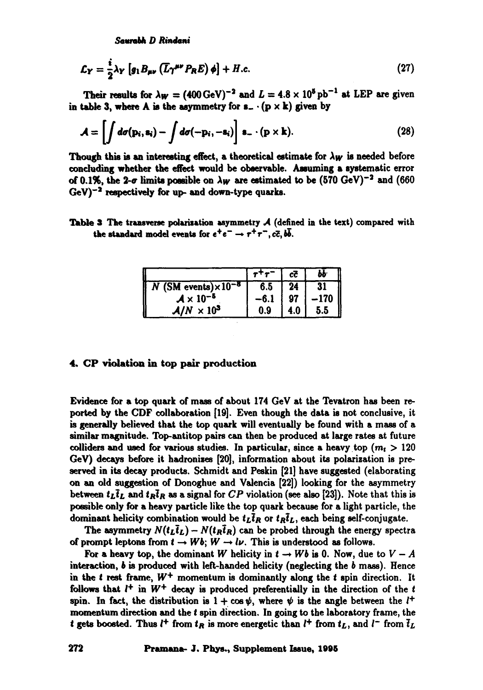*SmmW, D Rimdui* 

$$
\mathcal{L}_Y = \frac{i}{2} \lambda_Y \left[ g_1 B_{\mu\nu} \left( \overline{L} \gamma^{\mu\nu} P_R E \right) \phi \right] + H.c.
$$
 (27)

Their results for  $\lambda w = (400 \,\text{GeV})^{-2}$  and  $L = 4.8 \times 10^5 \,\text{pb}^{-1}$  at LEP are given in table 3, where A is the asymmetry for  $s_-\cdot(p \times k)$  given by

$$
\mathcal{A} = \left[ \int d\sigma(\mathbf{p}_i, \mathbf{s}_i) - \int d\sigma(-\mathbf{p}_i, -\mathbf{s}_i) \right] \mathbf{s}_- \cdot (\mathbf{p} \times \mathbf{k}). \tag{28}
$$

Though this is an interesting effect, a theoretical estimate for  $\lambda_W$  is needed before concluding whether the effect would be observable. Assuming a systematic error of 0.1%, the 2- $\sigma$  limits possible on  $\lambda_W$  are estimated to be (570 GeV)<sup>-2</sup> and (660  $GeV$ <sup>-2</sup> respectively for up- and down-type quarks.

Table 3 The transverse polarization asymmetry  $A$  (defined in the text) compared with the standard model events for  $e^+e^- \rightarrow \tau^+\tau^-, c\bar{c}, b\bar{b}.$ 

|                                         |     | сč  |        |
|-----------------------------------------|-----|-----|--------|
| $\sqrt{N}$ (SM events) $\times 10^{-8}$ | 6.5 | 24  | 31     |
| $A \times 10^{-5}$                      |     | 97  | $-170$ |
| $A/N \times 10^3$                       | 0.9 | 4.0 | 5.5    |

# 4. CP violation in top pair production

Evidence for a top quark of mass of about 174 GeV at the Tevatron has been reported by the CDF collaboration [19]. Even though the data is not conclusive, it is generally believed that the top quark will eventually be found with a mass of a similar magnitude. Top-antitop pairs can then be produced at large rates at future colliders and used for various studies. In particular, since a heavy top  $(m_t > 120$ GeV) decays before it hadronises [20], information about its polarization is preserved in its decay products. Schmidt and Peskin [21] have suggested (elaborating on an old suggestion of Donoghue and Valencia [22]) looking for the asymmetry between  $t_L \bar{t}_L$  and  $t_R \bar{t}_R$  as a signal for *CP* violation (see also [23]). Note that this is possible only for a heavy particle like the top quark because for a light particle, the dominant helicity combination would be  $t_L\bar{t}_R$  or  $t_R\bar{t}_L$ , each being self-conjugate.

The asymmetry  $N(t_L\bar{t}_L) - N(t_R\bar{t}_R)$  can be probed through the energy spectra of prompt leptons from  $t \to Wb$ ;  $W \to l\nu$ . This is understood as follows.

For a heavy top, the dominant W helicity in  $t \to Wb$  is 0. Now, due to  $V - A$ interaction,  $b$  is produced with left-handed helicity (neglecting the  $b$  mass). Hence in the t rest frame,  $W^+$  momentum is dominantly along the t spin direction. It follows that  $l^+$  in  $W^+$  decay is produced preferentially in the direction of the t spin. In fact, the distribution is  $1 + \cos \psi$ , where  $\psi$  is the angle between the  $l^+$ momentum direction and the t spin direction. In going to the laboratory frame, the t gets boosted. Thus  $l^+$  from  $t_R$  is more energetic than  $l^+$  from  $t_L$ , and  $l^-$  from  $\overline{t}_L$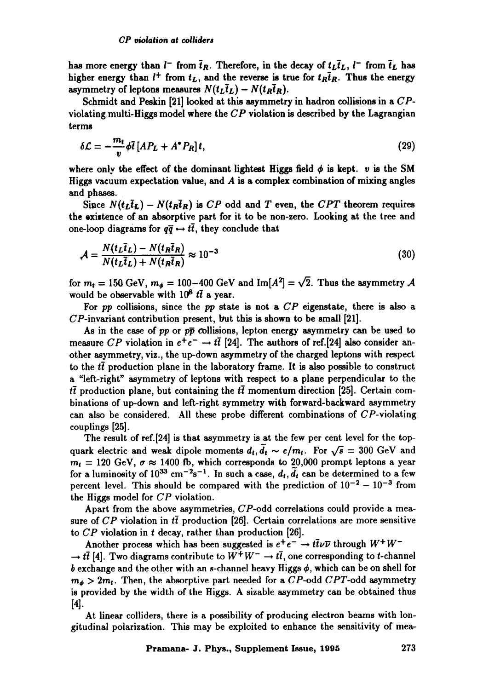has more energy than  $l^-$  from  $\bar{t}_R$ . Therefore, in the decay of  $t_L\bar{t}_L$ ,  $l^-$  from  $\bar{t}_L$  has higher energy than  $l^+$  from  $t_L$ , and the reverse is true for  $t_R\bar{t}_R$ . Thus the energy asymmetry of leptons measures  $N(t_L\bar{t}_L) - N(t_R\bar{t}_R)$ .

Schmidt and Peskin [21] looked at this asymmetry in hadron collisions in a CPviolating multi-Higgs model where the  $CP$  violation is described by the Lagrangian terms

$$
\delta \mathcal{L} = -\frac{m_t}{v} \phi \bar{t} \left[ AP_L + A^* P_R \right] t,\tag{29}
$$

where only the effect of the dominant lightest Higgs field  $\phi$  is kept. v is the SM Higgs vacuum expectation value, and  $A$  is a complex combination of mixing angles and phases.

Since  $N(t_L\bar{t}_L) - N(t_R\bar{t}_R)$  is *CP* odd and *T* even, the *CPT* theorem requires the existence of an absorptive part for it to be non-zero. Looking at the tree and one-loop diagrams for  $q\bar{q} \leftrightarrow t\bar{t}$ , they conclude that

$$
\mathcal{A} = \frac{N(t_L \bar{t}_L) - N(t_R \bar{t}_R)}{N(t_L \bar{t}_L) + N(t_R \bar{t}_R)} \approx 10^{-3}
$$
\n(30)

for  $m_t = 150 \text{ GeV}, m_\phi = 100-400 \text{ GeV}$  and  $\text{Im}[A^2] = \sqrt{2}$ . Thus the asymmetry A would be observable with  $10^6$  *tt* a year.

For *pp* collisions, since the *pp* state is not a *CP* eigenstate, there is also a  $CP$ -invariant contribution present, but this is shown to be small [21].

As in the case of *pp* or  $p\bar{p}$  collisions, lepton energy asymmetry can be used to measure *CP* violation in  $e^+e^- \rightarrow t\bar{t}$  [24]. The authors of ref.[24] also consider another asymmetry, viz., the up-down asymmetry of the charged leptons with respect to the  $t\bar{t}$  production plane in the laboratory frame. It is also possible to construct a "left-right" asymmetry of leptons with respect to a plane perpendicular to the  $t\bar{t}$  production plane, but containing the  $t\bar{t}$  momentum direction [25]. Certain combinations of up-down and left-right symmetry with forward-backward asymmetry can also be considered. All these probe different combinations of CP-violating couplings [25].

The result of ref.[24] is that asymmetry is at the few per cent level for the topquark electric and weak dipole moments  $d_t$ ,  $\tilde{d}_t \sim e/m_t$ . For  $\sqrt{s} = 300$  GeV and  $m_t = 120$  GeV,  $\sigma \approx 1400$  fb, which corresponds to 20,000 prompt leptons a year for a luminosity of  $10^{33}$  cm<sup>-2</sup>s<sup>-1</sup>. In such a case,  $d_t$ ,  $\tilde{d}_t$  can be determined to a few percent level. This should be compared with the prediction of  $10^{-2} - 10^{-3}$  from the Higgs model for CP violation.

Apart from the above asymmetries,  $CP$ -odd correlations could provide a measure of CP violation in  $t\bar{t}$  production [26]. Certain correlations are more sensitive to *CP* violation in t decay, rather than production [26].

Another process which has been suggested is  $e^+e^- \rightarrow t\bar{t}\nu\bar{\nu}$  through  $W^+W^ \rightarrow t\bar{t}$  [4]. Two diagrams contribute to  $W^+W^-\rightarrow t\bar{t}$ , one corresponding to t-channel b exchange and the other with an s-channel heavy Higgs  $\phi$ , which can be on shell for  $m_{\phi} > 2m_t$ . Then, the absorptive part needed for a CP-odd CPT-odd asymmetry is provided by the width of the Higgs. A sizable asymmetry can be obtained thus [4].

At linear colliders, there is a possibility of producing electron beams with longitudinal polarization. This may be exploited to enhance the sensitivity of mea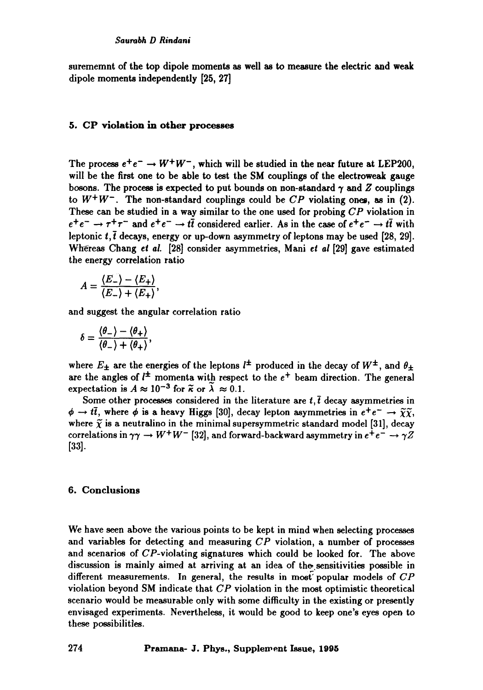surememnt of the top dipole moments as well as to measure the electric and weak dipole moments independently [25, 27]

### 5. CP violation in other processes

The process  $e^+e^- \rightarrow W^+W^-$ , which will be studied in the near future at LEP200, will be the first one to be able to test the SM couplings of the electroweak gauge bosons. The process is expected to put bounds on non-standard  $\gamma$  and  $Z$  couplings to  $W^+W^-$ . The non-standard couplings could be  $CP$  violating ones, as in (2). These can be studied in a way similar to the one used for probing *CP* violation in  $e^+e^- \rightarrow \tau^+\tau^-$  and  $e^+e^- \rightarrow t\bar{t}$  considered earlier. As in the case of  $e^+e^- \rightarrow t\bar{t}$  with leptonic t,  $\bar{t}$  decays, energy or up-down asymmetry of leptons may be used [28, 29]. Whereas Chang *et al.* [28] consider asymmetries, Mani *et ai* [29] gave estimated the energy correlation ratio

$$
A = \frac{\langle E_- \rangle - \langle E_+ \rangle}{\langle E_- \rangle + \langle E_+ \rangle},
$$

and suggest the angular correlation ratio

$$
\delta = \frac{\langle \theta_- \rangle - \langle \theta_+ \rangle}{\langle \theta_- \rangle + \langle \theta_+ \rangle},
$$

where  $E_{\pm}$  are the energies of the leptons  $l^{\pm}$  produced in the decay of  $W^{\pm}$ , and  $\theta_{\pm}$ are the angles of  $l^{\pm}$  momenta with respect to the  $e^{+}$  beam direction. The general expectation is  $A \approx 10^{-3}$  for  $\tilde{\kappa}$  or  $\tilde{\lambda} \approx 0.1$ .

Some other processes considered in the literature are  $t, \bar{t}$  decay asymmetries in  $\phi \to t\bar{t}$ , where  $\phi$  is a heavy Higgs [30], decay lepton asymmetries in  $e^+e^- \to \tilde{\chi}\tilde{\chi}$ , where  $\tilde{\chi}$  is a neutralino in the minimal supersymmetric standard model [31], decay correlations in  $\gamma\gamma \to W^+W^-$  [32], and forward-backward asymmetry in  $e^+e^- \to \gamma Z$ [33].

# 6. Conclusions

We have seen above the various points to be kept in mind when selecting processes and variables for detecting and measuring *CP* violation, a number of processes and scenarios of CP-violating signatures which could be looked for. The above discussion is mainly aimed at arriving at an idea of the sensitivities possible in different measurements. In general, the results in most popular models of CP violation beyond SM indicate that *CP* violation in the most optimistic theoretical scenario would be measurable only with some difficulty in the existing or presently envisaged experiments. Nevertheless, it would be good to keep one's eyes open to these possibilities.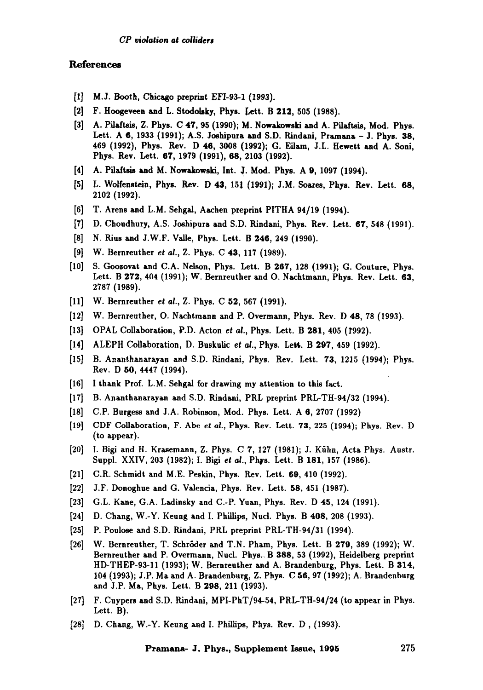# References

- [1] M.J. Booth, Chicago preprint EFI-93-1 (1993).
- [2] F. Hoogeveen and L. Stodolaky, Phys. Left. B 212, 505 (1988).
- [3] A. Pilaftsis, Z. Phys. C 47, 95 (1990); M. Nowakowski and A. Pildtsis, Mod. Phys. Lett. A 6, 1933 (1991); A.S. Joshipura and S.D. Rindani, Pramana - J. Phys. 38, 469 (1992), Phys. Rev. D 46, 3008 (1992); G. Eilam, J.L. Hewett and A. Soni, Phys. Rev. Lett. 6T, 1979 (1991), 68, 2108 (1992).
- [4] A. Pilaftsis and M. Nowakowski, Int. J. Mod. Phys. A 9, 1097 (1994).
- [5] L. Wolfenstein, Phys. Rev. D 43, 151 (1991); J.M. Soares, Phys. Rev. Lett. 68, 2102 (1992).
- [6] T. Arens and L.M. Sehgal, Aachen preprint PITHA 94/19 (1994).
- [7] D. Choudhury, A.S. Joshipura and S.D. Rindani, Phys. Rev. Lett. 67, 548 (1991).
- [8] N. Rius and J.W.F. Valle, Phys. Lett. B 246, 249 (1990).
- [9] W. Bernreuther *et ai.,* Z. Phys. C 43, 117 (1989).
- [10] S. Goozovat and C.A. Nelson, Phys. Lett. B 267, 128 (1991); G. Couture, Phys. Lett. B 272, 404 (1991); W. Bernreuther and O. Nachtmann, Phys. Rev. Lett. 63, 2787 (1989).
- [11] W. Bernreuther *et at.,* Z. Phys. C 52, 567 (1991).
- [12] W. Bernreuther, O. Nachtmann and P. Overmann, Phys. Rev. D 48, 78 (1993).
- [13] OPAL Collaboration, P.D. Acton *et ai.,* Phys. Lett. B 281,405 (T992).
- [14] ALEPH Collaboration, D. Buskulic *et al.*, Phys. Lett. B 297, 459 (1992).
- [15] B. Ananthanarayan and S.D. Rindani, Phys. Rev. Lett. 73, 1215 (1994); Phys. Rev. D **50,** 4447 (1994).
- [16] I thank Prof. L.M. Sehgal for drawing my attention to this fact.
- [17] B. Ananthanarayan and S.D. Rindani, PRL preprint PRL-TH-94/32 (1994).
- [18] C.P. Burgess and J.A. Robinson, Mod. Phys. Lett. A 6, 2707 (1992)
- [19] CDF Collaboration, F. Abe *et al.,* Phys. Rev. Lett. 73, 225 (1994); Phys. Rev. D (to appear).
- [20] I. Bigi and H. Krasemann, Z. Phys. C 7, 127 (1981); J. Kühn, Acta Phys. Austr. Suppl. XXIV, 203 (1982); I. Bigi *et al.,* Phys. Lett. B 181, 157 (1986).
- [21] C.R. Schmidt and M.E. Peskin, Phys. Rev. Lett. 69, 410 (1992).
- [22] J.F. Donoghue and G. Valencia, Phys. Rev. Lett. 58, 451 (1987).
- [23] G.L. Kane, G.A. Ladinsky and C.-P. Yuan, Phys. Rev. D 45, 124 (1991).
- **[24] D.** Chang, W.-Y. Keung and I. Phillips, Nuci. Phys. B 408, 208 (1993).
- [25] P. Poulose and S.D. Rindani, PRL preprint PRL-TH-94/31 (1994).
- [26] W. Bernreuther, T. SchrSder and T.N. Pham, Phys. Lett. B 279, 389 (1992); W. Bernreuther and P. Overmann, Nucl. Phys.~ B 388, 58 (1992), Heidelberg preprint HD-THEP-93-11 (1998); W. Bernreuther and A. Brandenburg, Phys. Lett. B 314, 104 (1993); J.P. Ma and A. Brandenburg, Z. Phys. C 56, 97 (1992); A. Brandenburg and J.P. Ma, Phys. Lett. B 298, 211 (1998).
- [27] F. Cuypers and S.D. Rindani, MPI-PhT/94-54, PRL-TH-94/24 (to appear in Phys. Lett. B).
- [28] D. Chang, W.-Y. Keung and I. Phillips, Phys. Rev. D, (1993).